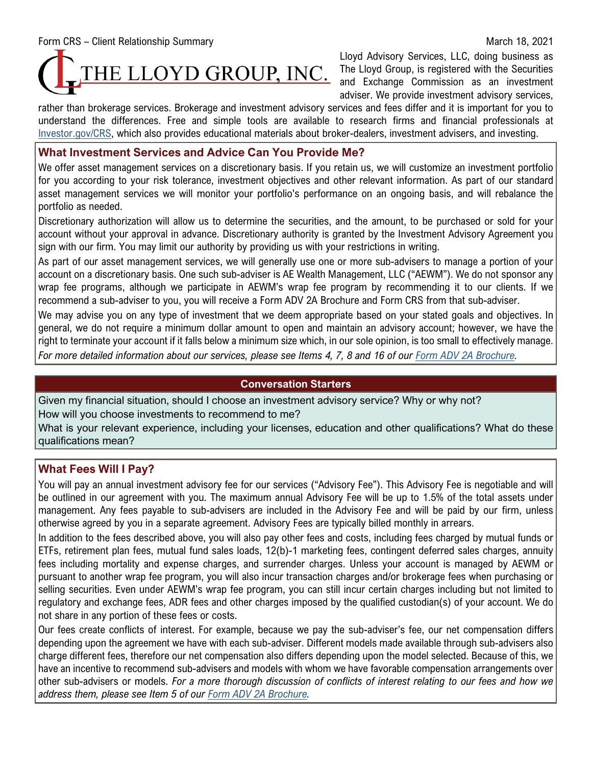Form CRS – Client Relationship Summary March 18, 2021

Lloyd Advisory Services, LLC, doing business as The Lloyd Group, is registered with the Securities and Exchange Commission as an investment adviser. We provide investment advisory services,

rather than brokerage services. Brokerage and investment advisory services and fees differ and it is important for you to understand the differences. Free and simple tools are available to research firms and financial professionals at [Investor.gov/CRS,](https://www.investor.gov/CRS) which also provides educational materials about broker-dealers, investment advisers, and investing.

# **What Investment Services and Advice Can You Provide Me?**

We offer asset management services on a discretionary basis. If you retain us, we will customize an investment portfolio for you according to your risk tolerance, investment objectives and other relevant information. As part of our standard asset management services we will monitor your portfolio's performance on an ongoing basis, and will rebalance the portfolio as needed.

Discretionary authorization will allow us to determine the securities, and the amount, to be purchased or sold for your account without your approval in advance. Discretionary authority is granted by the Investment Advisory Agreement you sign with our firm. You may limit our authority by providing us with your restrictions in writing.

As part of our asset management services, we will generally use one or more sub-advisers to manage a portion of your account on a discretionary basis. One such sub-adviser is AE Wealth Management, LLC ("AEWM"). We do not sponsor any wrap fee programs, although we participate in AEWM's wrap fee program by recommending it to our clients. If we recommend a sub-adviser to you, you will receive a Form ADV 2A Brochure and Form CRS from that sub-adviser.

We may advise you on any type of investment that we deem appropriate based on your stated goals and objectives. In general, we do not require a minimum dollar amount to open and maintain an advisory account; however, we have the right to terminate your account if it falls below a minimum size which, in our sole opinion, is too small to effectively manage. *For more detailed information about our services, please see Items 4, 7, 8 and 16 of our [Form ADV 2A Brochure.](https://adviserinfo.sec.gov/firm/summary/150582)*

# **Conversation Starters**

Given my financial situation, should I choose an investment advisory service? Why or why not? How will you choose investments to recommend to me?

What is your relevant experience, including your licenses, education and other qualifications? What do these qualifications mean?

# **What Fees Will I Pay?**

You will pay an annual investment advisory fee for our services ("Advisory Fee"). This Advisory Fee is negotiable and will be outlined in our agreement with you. The maximum annual Advisory Fee will be up to 1.5% of the total assets under management. Any fees payable to sub-advisers are included in the Advisory Fee and will be paid by our firm, unless otherwise agreed by you in a separate agreement. Advisory Fees are typically billed monthly in arrears.

In addition to the fees described above, you will also pay other fees and costs, including fees charged by mutual funds or ETFs, retirement plan fees, mutual fund sales loads, 12(b)-1 marketing fees, contingent deferred sales charges, annuity fees including mortality and expense charges, and surrender charges. Unless your account is managed by AEWM or pursuant to another wrap fee program, you will also incur transaction charges and/or brokerage fees when purchasing or selling securities. Even under AEWM's wrap fee program, you can still incur certain charges including but not limited to regulatory and exchange fees, ADR fees and other charges imposed by the qualified custodian(s) of your account. We do not share in any portion of these fees or costs.

Our fees create conflicts of interest. For example, because we pay the sub-adviser's fee, our net compensation differs depending upon the agreement we have with each sub-adviser. Different models made available through sub-advisers also charge different fees, therefore our net compensation also differs depending upon the model selected. Because of this, we have an incentive to recommend sub-advisers and models with whom we have favorable compensation arrangements over other sub-advisers or models. *For a more thorough discussion of conflicts of interest relating to our fees and how we address them, please see Item 5 of our [Form ADV 2A Brochure.](https://adviserinfo.sec.gov/firm/summary/150582)*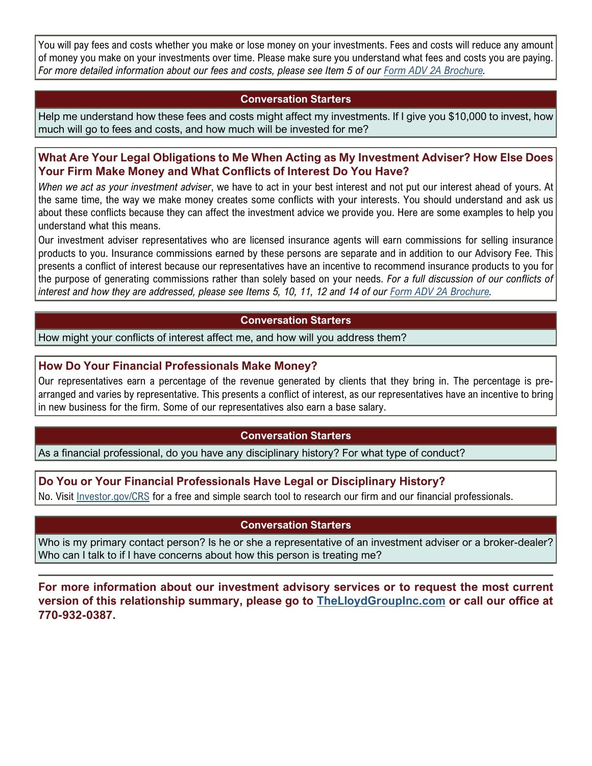You will pay fees and costs whether you make or lose money on your investments. Fees and costs will reduce any amount of money you make on your investments over time. Please make sure you understand what fees and costs you are paying. *For more detailed information about our fees and costs, please see Item 5 of our [Form ADV 2A Brochure.](https://adviserinfo.sec.gov/firm/summary/150582)*

### **Conversation Starters**

Help me understand how these fees and costs might affect my investments. If I give you \$10,000 to invest, how much will go to fees and costs, and how much will be invested for me?

## **What Are Your Legal Obligations to Me When Acting as My Investment Adviser? How Else Does Your Firm Make Money and What Conflicts of Interest Do You Have?**

*When we act as your investment adviser*, we have to act in your best interest and not put our interest ahead of yours. At the same time, the way we make money creates some conflicts with your interests. You should understand and ask us about these conflicts because they can affect the investment advice we provide you. Here are some examples to help you understand what this means.

Our investment adviser representatives who are licensed insurance agents will earn commissions for selling insurance products to you. Insurance commissions earned by these persons are separate and in addition to our Advisory Fee. This presents a conflict of interest because our representatives have an incentive to recommend insurance products to you for the purpose of generating commissions rather than solely based on your needs. *For a full discussion of our conflicts of interest and how they are addressed, please see Items 5, 10, 11, 12 and 14 of our [Form ADV 2A Brochure.](https://adviserinfo.sec.gov/firm/summary/150582)*

### **Conversation Starters**

How might your conflicts of interest affect me, and how will you address them?

# **How Do Your Financial Professionals Make Money?**

Our representatives earn a percentage of the revenue generated by clients that they bring in. The percentage is prearranged and varies by representative. This presents a conflict of interest, as our representatives have an incentive to bring in new business for the firm. Some of our representatives also earn a base salary.

### **Conversation Starters**

As a financial professional, do you have any disciplinary history? For what type of conduct?

### **Do You or Your Financial Professionals Have Legal or Disciplinary History?**

No. Visit [Investor.gov/CRS](https://www.investor.gov/CRS) for a free and simple search tool to research our firm and our financial professionals.

#### **Conversation Starters**

Who is my primary contact person? Is he or she a representative of an investment adviser or a broker-dealer? Who can I talk to if I have concerns about how this person is treating me?

**For more information about our investment advisory services or to request the most current version of this relationship summary, please go to [TheLloydGroupInc.com](https://www.thelloydgroupinc.com/wp-content/uploads/2020/06/Client-Relationship-Summary.pdf) or call our office at 770-932-0387.**